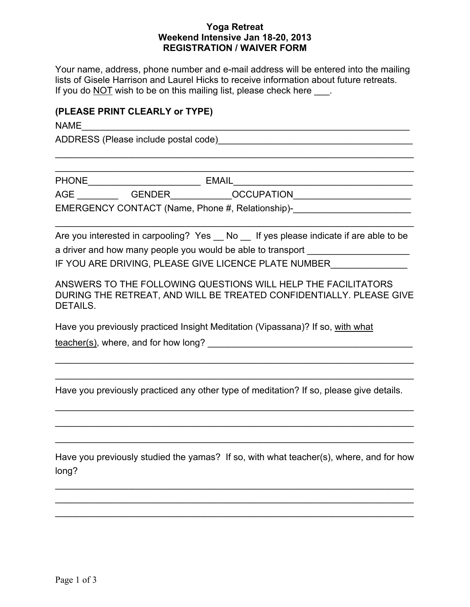#### **Yoga Retreat Weekend Intensive Jan 18-20, 2013 REGISTRATION / WAIVER FORM**

Your name, address, phone number and e-mail address will be entered into the mailing lists of Gisele Harrison and Laurel Hicks to receive information about future retreats. If you do NOT wish to be on this mailing list, please check here  $\Box$ .

 $\mathcal{L}_\text{max}$  , and the contract of the contract of the contract of the contract of the contract of the contract of  $\mathcal{L}_\text{max}$  and  $\mathcal{L}_\text{max}$  and  $\mathcal{L}_\text{max}$  and  $\mathcal{L}_\text{max}$  and  $\mathcal{L}_\text{max}$  and  $\mathcal{L}_\text{max}$ 

## **(PLEASE PRINT CLEARLY or TYPE)**

 $NAME$ 

ADDRESS (Please include postal code)\_\_\_\_\_\_\_\_\_\_\_\_\_\_\_\_\_\_\_\_\_\_\_\_\_\_\_\_\_\_\_\_\_\_\_\_\_\_

PHONE\_\_\_\_\_\_\_\_\_\_\_\_\_\_\_\_\_\_\_\_\_\_ EMAIL\_\_\_\_\_\_\_\_\_\_\_\_\_\_\_\_\_\_\_\_\_\_\_\_\_\_\_\_\_\_\_\_\_\_\_

AGE \_\_\_\_\_\_\_\_\_\_\_\_GENDER\_\_\_\_\_\_\_\_\_\_\_\_\_OCCUPATION\_\_\_\_\_\_\_\_\_\_\_\_\_\_\_\_\_\_\_\_\_\_\_\_\_\_\_\_\_ EMERGENCY CONTACT (Name, Phone #, Relationship)-\_\_\_\_\_\_\_\_\_\_\_\_\_\_\_\_\_\_\_\_\_\_\_\_\_\_\_\_\_\_\_\_

Are you interested in carpooling? Yes No If yes please indicate if are able to be a driver and how many people you would be able to transport **with the same of the system** IF YOU ARE DRIVING, PLEASE GIVE LICENCE PLATE NUMBER

 $\mathcal{L}_\text{max}$  and  $\mathcal{L}_\text{max}$  and  $\mathcal{L}_\text{max}$  and  $\mathcal{L}_\text{max}$  and  $\mathcal{L}_\text{max}$  and  $\mathcal{L}_\text{max}$ 

ANSWERS TO THE FOLLOWING QUESTIONS WILL HELP THE FACILITATORS DURING THE RETREAT, AND WILL BE TREATED CONFIDENTIALLY. PLEASE GIVE DETAILS.

Have you previously practiced Insight Meditation (Vipassana)? If so, with what

teacher(s), where, and for how long?

Have you previously practiced any other type of meditation? If so, please give details.

 $\mathcal{L}_\text{max} = \mathcal{L}_\text{max} = \mathcal{L}_\text{max} = \mathcal{L}_\text{max} = \mathcal{L}_\text{max} = \mathcal{L}_\text{max} = \mathcal{L}_\text{max} = \mathcal{L}_\text{max} = \mathcal{L}_\text{max} = \mathcal{L}_\text{max} = \mathcal{L}_\text{max} = \mathcal{L}_\text{max} = \mathcal{L}_\text{max} = \mathcal{L}_\text{max} = \mathcal{L}_\text{max} = \mathcal{L}_\text{max} = \mathcal{L}_\text{max} = \mathcal{L}_\text{max} = \mathcal{$ 

 $\mathcal{L}_\mathcal{L} = \mathcal{L}_\mathcal{L} = \mathcal{L}_\mathcal{L} = \mathcal{L}_\mathcal{L} = \mathcal{L}_\mathcal{L} = \mathcal{L}_\mathcal{L} = \mathcal{L}_\mathcal{L} = \mathcal{L}_\mathcal{L} = \mathcal{L}_\mathcal{L} = \mathcal{L}_\mathcal{L} = \mathcal{L}_\mathcal{L} = \mathcal{L}_\mathcal{L} = \mathcal{L}_\mathcal{L} = \mathcal{L}_\mathcal{L} = \mathcal{L}_\mathcal{L} = \mathcal{L}_\mathcal{L} = \mathcal{L}_\mathcal{L}$ 

 $\mathcal{L}_\text{max}$  , and the contract of the contract of the contract of the contract of the contract of the contract of

 $\mathcal{L}_\text{max} = \mathcal{L}_\text{max} = \mathcal{L}_\text{max} = \mathcal{L}_\text{max} = \mathcal{L}_\text{max} = \mathcal{L}_\text{max} = \mathcal{L}_\text{max} = \mathcal{L}_\text{max} = \mathcal{L}_\text{max} = \mathcal{L}_\text{max} = \mathcal{L}_\text{max} = \mathcal{L}_\text{max} = \mathcal{L}_\text{max} = \mathcal{L}_\text{max} = \mathcal{L}_\text{max} = \mathcal{L}_\text{max} = \mathcal{L}_\text{max} = \mathcal{L}_\text{max} = \mathcal{$ 

 $\mathcal{L}_\text{max} = \mathcal{L}_\text{max} = \mathcal{L}_\text{max} = \mathcal{L}_\text{max} = \mathcal{L}_\text{max} = \mathcal{L}_\text{max} = \mathcal{L}_\text{max} = \mathcal{L}_\text{max} = \mathcal{L}_\text{max} = \mathcal{L}_\text{max} = \mathcal{L}_\text{max} = \mathcal{L}_\text{max} = \mathcal{L}_\text{max} = \mathcal{L}_\text{max} = \mathcal{L}_\text{max} = \mathcal{L}_\text{max} = \mathcal{L}_\text{max} = \mathcal{L}_\text{max} = \mathcal{$ 

Have you previously studied the yamas? If so, with what teacher(s), where, and for how long?

 $\mathcal{L}_\text{max}$  and  $\mathcal{L}_\text{max}$  and  $\mathcal{L}_\text{max}$  and  $\mathcal{L}_\text{max}$  and  $\mathcal{L}_\text{max}$  and  $\mathcal{L}_\text{max}$  $\mathcal{L}_\text{max}$  , and the contract of the contract of the contract of the contract of the contract of the contract of  $\mathcal{L}_\text{max}$  , and the contract of the contract of the contract of the contract of the contract of the contract of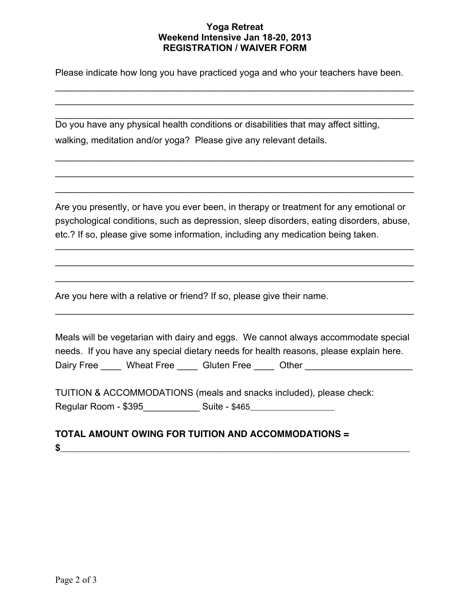### **Yoga Retreat Weekend Intensive Jan 18-20, 2013 REGISTRATION / WAIVER FORM**

Please indicate how long you have practiced yoga and who your teachers have been.

 $\mathcal{L}_\mathcal{L} = \mathcal{L}_\mathcal{L} = \mathcal{L}_\mathcal{L} = \mathcal{L}_\mathcal{L} = \mathcal{L}_\mathcal{L} = \mathcal{L}_\mathcal{L} = \mathcal{L}_\mathcal{L} = \mathcal{L}_\mathcal{L} = \mathcal{L}_\mathcal{L} = \mathcal{L}_\mathcal{L} = \mathcal{L}_\mathcal{L} = \mathcal{L}_\mathcal{L} = \mathcal{L}_\mathcal{L} = \mathcal{L}_\mathcal{L} = \mathcal{L}_\mathcal{L} = \mathcal{L}_\mathcal{L} = \mathcal{L}_\mathcal{L}$  $\mathcal{L}_\mathcal{L} = \mathcal{L}_\mathcal{L} = \mathcal{L}_\mathcal{L} = \mathcal{L}_\mathcal{L} = \mathcal{L}_\mathcal{L} = \mathcal{L}_\mathcal{L} = \mathcal{L}_\mathcal{L} = \mathcal{L}_\mathcal{L} = \mathcal{L}_\mathcal{L} = \mathcal{L}_\mathcal{L} = \mathcal{L}_\mathcal{L} = \mathcal{L}_\mathcal{L} = \mathcal{L}_\mathcal{L} = \mathcal{L}_\mathcal{L} = \mathcal{L}_\mathcal{L} = \mathcal{L}_\mathcal{L} = \mathcal{L}_\mathcal{L}$ 

 $\mathcal{L}_\mathcal{L} = \mathcal{L}_\mathcal{L} = \mathcal{L}_\mathcal{L} = \mathcal{L}_\mathcal{L} = \mathcal{L}_\mathcal{L} = \mathcal{L}_\mathcal{L} = \mathcal{L}_\mathcal{L} = \mathcal{L}_\mathcal{L} = \mathcal{L}_\mathcal{L} = \mathcal{L}_\mathcal{L} = \mathcal{L}_\mathcal{L} = \mathcal{L}_\mathcal{L} = \mathcal{L}_\mathcal{L} = \mathcal{L}_\mathcal{L} = \mathcal{L}_\mathcal{L} = \mathcal{L}_\mathcal{L} = \mathcal{L}_\mathcal{L}$ 

 $\mathcal{L}_\text{max} = \mathcal{L}_\text{max} = \mathcal{L}_\text{max} = \mathcal{L}_\text{max} = \mathcal{L}_\text{max} = \mathcal{L}_\text{max} = \mathcal{L}_\text{max} = \mathcal{L}_\text{max} = \mathcal{L}_\text{max} = \mathcal{L}_\text{max} = \mathcal{L}_\text{max} = \mathcal{L}_\text{max} = \mathcal{L}_\text{max} = \mathcal{L}_\text{max} = \mathcal{L}_\text{max} = \mathcal{L}_\text{max} = \mathcal{L}_\text{max} = \mathcal{L}_\text{max} = \mathcal{$ 

 $\mathcal{L}_\text{max}$  and  $\mathcal{L}_\text{max}$  and  $\mathcal{L}_\text{max}$  and  $\mathcal{L}_\text{max}$  and  $\mathcal{L}_\text{max}$  and  $\mathcal{L}_\text{max}$ 

 $\mathcal{L}_\mathcal{L} = \mathcal{L}_\mathcal{L} = \mathcal{L}_\mathcal{L} = \mathcal{L}_\mathcal{L} = \mathcal{L}_\mathcal{L} = \mathcal{L}_\mathcal{L} = \mathcal{L}_\mathcal{L} = \mathcal{L}_\mathcal{L} = \mathcal{L}_\mathcal{L} = \mathcal{L}_\mathcal{L} = \mathcal{L}_\mathcal{L} = \mathcal{L}_\mathcal{L} = \mathcal{L}_\mathcal{L} = \mathcal{L}_\mathcal{L} = \mathcal{L}_\mathcal{L} = \mathcal{L}_\mathcal{L} = \mathcal{L}_\mathcal{L}$ Do you have any physical health conditions or disabilities that may affect sitting, walking, meditation and/or yoga? Please give any relevant details.

Are you presently, or have you ever been, in therapy or treatment for any emotional or psychological conditions, such as depression, sleep disorders, eating disorders, abuse, etc.? If so, please give some information, including any medication being taken.

 $\mathcal{L}_\text{max}$  and  $\mathcal{L}_\text{max}$  and  $\mathcal{L}_\text{max}$  and  $\mathcal{L}_\text{max}$  and  $\mathcal{L}_\text{max}$  and  $\mathcal{L}_\text{max}$ 

 $\mathcal{L}_\text{max} = \mathcal{L}_\text{max} = \mathcal{L}_\text{max} = \mathcal{L}_\text{max} = \mathcal{L}_\text{max} = \mathcal{L}_\text{max} = \mathcal{L}_\text{max} = \mathcal{L}_\text{max} = \mathcal{L}_\text{max} = \mathcal{L}_\text{max} = \mathcal{L}_\text{max} = \mathcal{L}_\text{max} = \mathcal{L}_\text{max} = \mathcal{L}_\text{max} = \mathcal{L}_\text{max} = \mathcal{L}_\text{max} = \mathcal{L}_\text{max} = \mathcal{L}_\text{max} = \mathcal{$ 

 $\mathcal{L}_\text{max} = \mathcal{L}_\text{max} = \mathcal{L}_\text{max} = \mathcal{L}_\text{max} = \mathcal{L}_\text{max} = \mathcal{L}_\text{max} = \mathcal{L}_\text{max} = \mathcal{L}_\text{max} = \mathcal{L}_\text{max} = \mathcal{L}_\text{max} = \mathcal{L}_\text{max} = \mathcal{L}_\text{max} = \mathcal{L}_\text{max} = \mathcal{L}_\text{max} = \mathcal{L}_\text{max} = \mathcal{L}_\text{max} = \mathcal{L}_\text{max} = \mathcal{L}_\text{max} = \mathcal{$ 

 $\mathcal{L}_\text{max}$  and  $\mathcal{L}_\text{max}$  and  $\mathcal{L}_\text{max}$  and  $\mathcal{L}_\text{max}$  and  $\mathcal{L}_\text{max}$  and  $\mathcal{L}_\text{max}$ 

Are you here with a relative or friend? If so, please give their name.

Meals will be vegetarian with dairy and eggs. We cannot always accommodate special needs. If you have any special dietary needs for health reasons, please explain here. Dairy Free \_\_\_\_\_ Wheat Free \_\_\_\_\_ Gluten Free \_\_\_\_\_ Other \_\_\_\_\_\_\_\_\_\_\_\_\_\_\_\_\_\_\_\_\_\_

TUITION & ACCOMMODATIONS (meals and snacks included), please check: Regular Room - \$395\_\_\_\_\_\_\_\_\_\_\_\_\_\_ Suite - \$465\_\_\_\_\_\_\_\_\_\_\_\_\_\_\_\_\_\_\_\_\_\_\_\_\_\_\_\_\_\_\_\_\_\_

# **TOTAL AMOUNT OWING FOR TUITION AND ACCOMMODATIONS =**   $\mathbf{\hat{s}}$